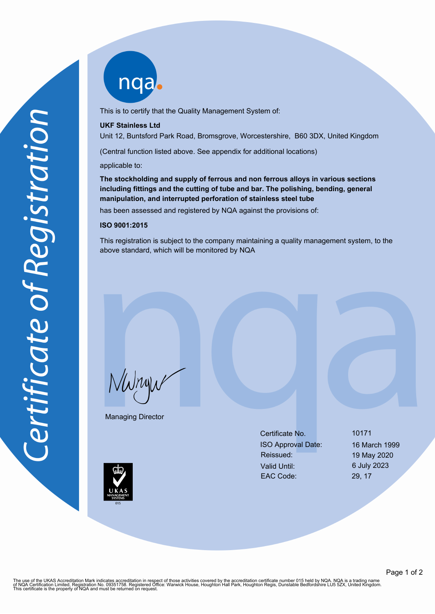

This is to certify that the Quality Management System of:

#### **UKF Stainless Ltd**

Unit 12, Buntsford Park Road, Bromsgrove, Worcestershire, B60 3DX, United Kingdom

(Central function listed above. See appendix for additional locations)

applicable to:

**The stockholding and supply of ferrous and non ferrous alloys in various sections including fittings and the cutting of tube and bar. The polishing, bending, general manipulation, and interrupted perforation of stainless steel tube**

has been assessed and registered by NQA against the provisions of:

#### **ISO 9001:2015**

This registration is subject to the company maintaining a quality management system, to the above standard, which will be monitored by NQA

NWnyw

Managing Director

Certificate No. 10171 ISO Approval Date: 16 March 1999 Reissued: 19 May 2020 Valid Until: 6 July 2023 EAC Code: 29, 17